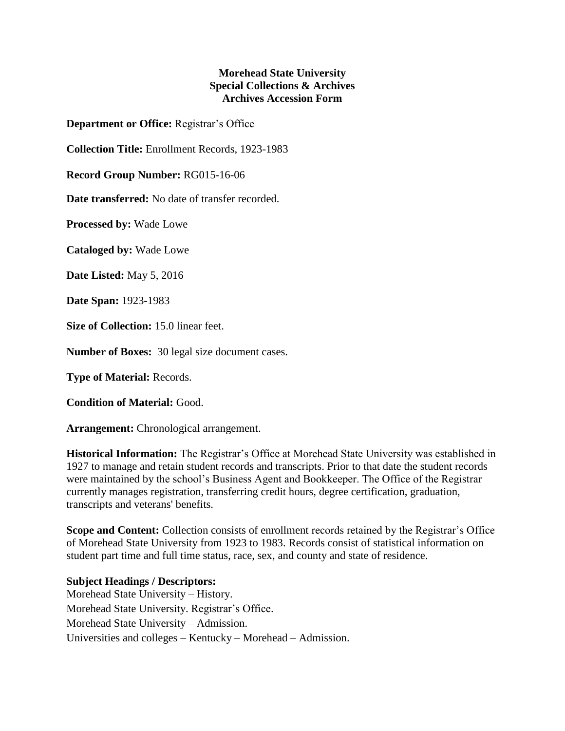## **Morehead State University Special Collections & Archives Archives Accession Form**

**Department or Office:** Registrar's Office

**Collection Title:** Enrollment Records, 1923-1983

**Record Group Number:** RG015-16-06

**Date transferred:** No date of transfer recorded.

**Processed by:** Wade Lowe

**Cataloged by:** Wade Lowe

**Date Listed:** May 5, 2016

**Date Span:** 1923-1983

**Size of Collection:** 15.0 linear feet.

**Number of Boxes:** 30 legal size document cases.

**Type of Material:** Records.

**Condition of Material:** Good.

**Arrangement:** Chronological arrangement.

**Historical Information:** The Registrar's Office at Morehead State University was established in 1927 to manage and retain student records and transcripts. Prior to that date the student records were maintained by the school's Business Agent and Bookkeeper. The Office of the Registrar currently manages registration, transferring credit hours, degree certification, graduation, transcripts and veterans' benefits.

**Scope and Content:** Collection consists of enrollment records retained by the Registrar's Office of Morehead State University from 1923 to 1983. Records consist of statistical information on student part time and full time status, race, sex, and county and state of residence.

**Subject Headings / Descriptors:** Morehead State University – History. Morehead State University. Registrar's Office. Morehead State University – Admission. Universities and colleges – Kentucky – Morehead – Admission.